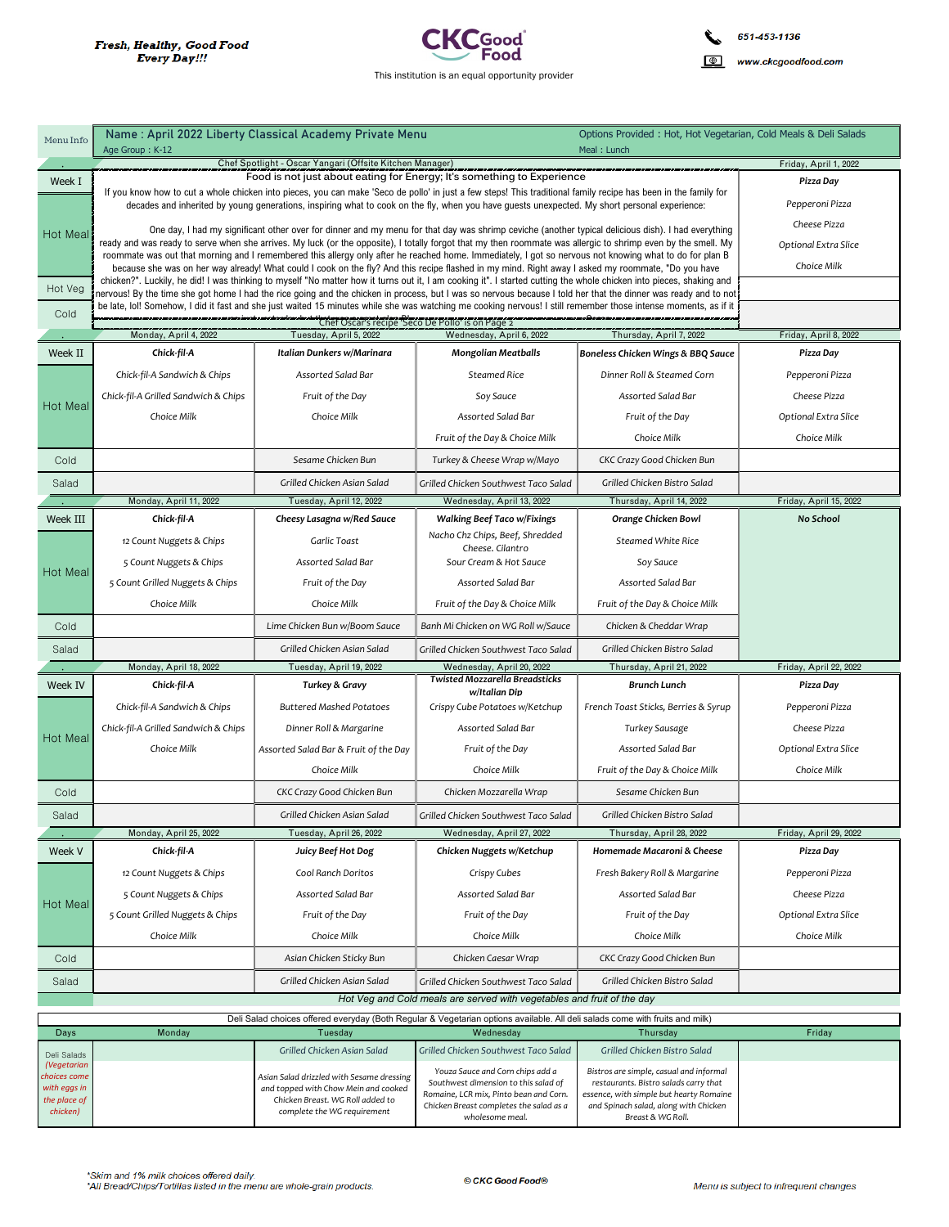

| Menu Info                    | Name: April 2022 Liberty Classical Academy Private Menu                                                                                                                                                                                                                                                                  |                                                                                                                                                                                                                                                                                                                                                                                            |                                                                                                                                                                                                                                                                                                                                        | Options Provided: Hot, Hot Vegetarian, Cold Meals & Deli Salads                                       |                                    |
|------------------------------|--------------------------------------------------------------------------------------------------------------------------------------------------------------------------------------------------------------------------------------------------------------------------------------------------------------------------|--------------------------------------------------------------------------------------------------------------------------------------------------------------------------------------------------------------------------------------------------------------------------------------------------------------------------------------------------------------------------------------------|----------------------------------------------------------------------------------------------------------------------------------------------------------------------------------------------------------------------------------------------------------------------------------------------------------------------------------------|-------------------------------------------------------------------------------------------------------|------------------------------------|
|                              | Age Group: K-12<br>Chef Spotlight - Oscar Yangari (Offsite Kitchen Manager)                                                                                                                                                                                                                                              |                                                                                                                                                                                                                                                                                                                                                                                            |                                                                                                                                                                                                                                                                                                                                        | Meal: Lunch                                                                                           | Friday, April 1, 2022              |
| Week I                       |                                                                                                                                                                                                                                                                                                                          | Pizza Day                                                                                                                                                                                                                                                                                                                                                                                  |                                                                                                                                                                                                                                                                                                                                        |                                                                                                       |                                    |
|                              |                                                                                                                                                                                                                                                                                                                          | Food is not just about eating for Energy; It's something to Experience<br>If you know how to cut a whole chicken into pieces, you can make 'Seco de pollo' in just a few steps! This traditional family recipe has been in the family for<br>decades and inherited by young generations, inspiring what to cook on the fly, when you have guests unexpected. My short personal experience: |                                                                                                                                                                                                                                                                                                                                        |                                                                                                       |                                    |
| <b>Hot Meal</b>              | One day, I had my significant other over for dinner and my menu for that day was shrimp ceviche (another typical delicious dish). I had everything                                                                                                                                                                       | Cheese Pizza                                                                                                                                                                                                                                                                                                                                                                               |                                                                                                                                                                                                                                                                                                                                        |                                                                                                       |                                    |
|                              | ready and was ready to serve when she arrives. My luck (or the opposite), I totally forgot that my then roommate was allergic to shrimp even by the smell. My<br>roommate was out that morning and I remembered this allergy only after he reached home. Immediately, I got so nervous not knowing what to do for plan B | Optional Extra Slice                                                                                                                                                                                                                                                                                                                                                                       |                                                                                                                                                                                                                                                                                                                                        |                                                                                                       |                                    |
|                              | because she was on her way already! What could I cook on the fly? And this recipe flashed in my mind. Right away I asked my roommate, "Do you have                                                                                                                                                                       | Choice Milk                                                                                                                                                                                                                                                                                                                                                                                |                                                                                                                                                                                                                                                                                                                                        |                                                                                                       |                                    |
| Hot Veg                      |                                                                                                                                                                                                                                                                                                                          |                                                                                                                                                                                                                                                                                                                                                                                            | chicken?". Luckily, he did! I was thinking to myself "No matter how it turns out it, I am cooking it". I started cutting the whole chicken into pieces, shaking and<br>nervous! By the time she got home I had the rice going and the chicken in process, but I was so nervous because I told her that the dinner was ready and to not |                                                                                                       |                                    |
| Cold                         | be late, lol! Somehow, I did it fast and she just waited 15 minutes while she was watching me cooking nervous! I still remember those intense moments, as if it                                                                                                                                                          |                                                                                                                                                                                                                                                                                                                                                                                            |                                                                                                                                                                                                                                                                                                                                        |                                                                                                       |                                    |
|                              |                                                                                                                                                                                                                                                                                                                          |                                                                                                                                                                                                                                                                                                                                                                                            |                                                                                                                                                                                                                                                                                                                                        |                                                                                                       |                                    |
| Week II                      | Monday, April 4, 2022<br>Chick-fil-A                                                                                                                                                                                                                                                                                     | Tuesday, April 5, 2022<br>Italian Dunkers w/Marinara                                                                                                                                                                                                                                                                                                                                       | Wednesday, April 6, 2022<br><b>Mongolian Meatballs</b>                                                                                                                                                                                                                                                                                 | Thursday, April 7, 2022<br>Boneless Chicken Wings & BBQ Sauce                                         | Friday, April 8, 2022<br>Pizza Day |
|                              |                                                                                                                                                                                                                                                                                                                          | Assorted Salad Bar                                                                                                                                                                                                                                                                                                                                                                         | <b>Steamed Rice</b>                                                                                                                                                                                                                                                                                                                    | Dinner Roll & Steamed Corn                                                                            |                                    |
|                              | Chick-fil-A Sandwich & Chips<br>Chick-fil-A Grilled Sandwich & Chips                                                                                                                                                                                                                                                     | Fruit of the Day                                                                                                                                                                                                                                                                                                                                                                           |                                                                                                                                                                                                                                                                                                                                        | Assorted Salad Bar                                                                                    | Pepperoni Pizza<br>Cheese Pizza    |
| <b>Hot Meal</b>              |                                                                                                                                                                                                                                                                                                                          |                                                                                                                                                                                                                                                                                                                                                                                            | Soy Sauce                                                                                                                                                                                                                                                                                                                              |                                                                                                       |                                    |
|                              | Choice Milk                                                                                                                                                                                                                                                                                                              | Choice Milk                                                                                                                                                                                                                                                                                                                                                                                | Assorted Salad Bar                                                                                                                                                                                                                                                                                                                     | Fruit of the Day                                                                                      | Optional Extra Slice               |
|                              |                                                                                                                                                                                                                                                                                                                          |                                                                                                                                                                                                                                                                                                                                                                                            | Fruit of the Day & Choice Milk                                                                                                                                                                                                                                                                                                         | Choice Milk                                                                                           | Choice Milk                        |
| Cold                         |                                                                                                                                                                                                                                                                                                                          | Sesame Chicken Bun                                                                                                                                                                                                                                                                                                                                                                         | Turkey & Cheese Wrap w/Mayo                                                                                                                                                                                                                                                                                                            | CKC Crazy Good Chicken Bun                                                                            |                                    |
| Salad                        |                                                                                                                                                                                                                                                                                                                          | Grilled Chicken Asian Salad                                                                                                                                                                                                                                                                                                                                                                | Grilled Chicken Southwest Taco Salad                                                                                                                                                                                                                                                                                                   | Grilled Chicken Bistro Salad                                                                          |                                    |
|                              | Monday, April 11, 2022                                                                                                                                                                                                                                                                                                   | Tuesday, April 12, 2022                                                                                                                                                                                                                                                                                                                                                                    | Wednesday, April 13, 2022                                                                                                                                                                                                                                                                                                              | Thursday, April 14, 2022                                                                              | Friday, April 15, 2022             |
| Week III                     | Chick-fil-A                                                                                                                                                                                                                                                                                                              | Cheesy Lasagna w/Red Sauce                                                                                                                                                                                                                                                                                                                                                                 | <b>Walking Beef Taco w/Fixings</b><br>Nacho Chz Chips, Beef, Shredded                                                                                                                                                                                                                                                                  | Orange Chicken Bowl                                                                                   | No School                          |
|                              | 12 Count Nuggets & Chips                                                                                                                                                                                                                                                                                                 | Garlic Toast                                                                                                                                                                                                                                                                                                                                                                               | Cheese. Cilantro                                                                                                                                                                                                                                                                                                                       | <b>Steamed White Rice</b>                                                                             |                                    |
| <b>Hot Meal</b>              | 5 Count Nuggets & Chips                                                                                                                                                                                                                                                                                                  | Assorted Salad Bar                                                                                                                                                                                                                                                                                                                                                                         | Sour Cream & Hot Sauce                                                                                                                                                                                                                                                                                                                 | Soy Sauce                                                                                             |                                    |
|                              | 5 Count Grilled Nuggets & Chips                                                                                                                                                                                                                                                                                          | Fruit of the Day                                                                                                                                                                                                                                                                                                                                                                           | Assorted Salad Bar                                                                                                                                                                                                                                                                                                                     | Assorted Salad Bar                                                                                    |                                    |
|                              | Choice Milk                                                                                                                                                                                                                                                                                                              | Choice Milk                                                                                                                                                                                                                                                                                                                                                                                | Fruit of the Day & Choice Milk                                                                                                                                                                                                                                                                                                         | Fruit of the Day & Choice Milk                                                                        |                                    |
|                              |                                                                                                                                                                                                                                                                                                                          |                                                                                                                                                                                                                                                                                                                                                                                            |                                                                                                                                                                                                                                                                                                                                        |                                                                                                       |                                    |
| Cold                         |                                                                                                                                                                                                                                                                                                                          | Lime Chicken Bun w/Boom Sauce                                                                                                                                                                                                                                                                                                                                                              | Banh Mi Chicken on WG Roll w/Sauce                                                                                                                                                                                                                                                                                                     | Chicken & Cheddar Wrap                                                                                |                                    |
| Salad                        |                                                                                                                                                                                                                                                                                                                          | Grilled Chicken Asian Salad                                                                                                                                                                                                                                                                                                                                                                | Grilled Chicken Southwest Taco Salad                                                                                                                                                                                                                                                                                                   | Grilled Chicken Bistro Salad                                                                          |                                    |
|                              | Monday, April 18, 2022                                                                                                                                                                                                                                                                                                   | Tuesday, April 19, 2022                                                                                                                                                                                                                                                                                                                                                                    | Wednesday, April 20, 2022                                                                                                                                                                                                                                                                                                              | Thursday, April 21, 2022                                                                              | Friday, April 22, 2022             |
| Week IV                      | Chick-fil-A                                                                                                                                                                                                                                                                                                              | <b>Turkey &amp; Gravy</b>                                                                                                                                                                                                                                                                                                                                                                  | <b>Twisted Mozzarella Breadsticks</b><br>w/Italian Dip                                                                                                                                                                                                                                                                                 | <b>Brunch Lunch</b>                                                                                   | Pizza Day                          |
|                              | Chick-fil-A Sandwich & Chips                                                                                                                                                                                                                                                                                             | <b>Buttered Mashed Potatoes</b>                                                                                                                                                                                                                                                                                                                                                            | Crispy Cube Potatoes w/Ketchup                                                                                                                                                                                                                                                                                                         | French Toast Sticks, Berries & Syrup                                                                  | Pepperoni Pizza                    |
|                              | Chick-fil-A Grilled Sandwich & Chips                                                                                                                                                                                                                                                                                     | Dinner Roll & Margarine                                                                                                                                                                                                                                                                                                                                                                    | Assorted Salad Bar                                                                                                                                                                                                                                                                                                                     | <b>Turkey Sausage</b>                                                                                 | Cheese Pizza                       |
| <b>Hot Meal</b>              | Choice Milk                                                                                                                                                                                                                                                                                                              | Assorted Salad Bar & Fruit of the Day                                                                                                                                                                                                                                                                                                                                                      | Fruit of the Day                                                                                                                                                                                                                                                                                                                       | Assorted Salad Bar                                                                                    | Optional Extra Slice               |
|                              |                                                                                                                                                                                                                                                                                                                          | Choice Milk                                                                                                                                                                                                                                                                                                                                                                                | Choice Milk                                                                                                                                                                                                                                                                                                                            | Fruit of the Day & Choice Milk                                                                        | Choice Milk                        |
| Cold                         |                                                                                                                                                                                                                                                                                                                          | CKC Crazy Good Chicken Bun                                                                                                                                                                                                                                                                                                                                                                 | Chicken Mozzarella Wrap                                                                                                                                                                                                                                                                                                                | Sesame Chicken Bun                                                                                    |                                    |
| Salad                        |                                                                                                                                                                                                                                                                                                                          | Grilled Chicken Asian Salad                                                                                                                                                                                                                                                                                                                                                                | Grilled Chicken Southwest Taco Salad                                                                                                                                                                                                                                                                                                   | Grilled Chicken Bistro Salad                                                                          |                                    |
|                              | Monday, April 25, 2022                                                                                                                                                                                                                                                                                                   | Tuesday, April 26, 2022                                                                                                                                                                                                                                                                                                                                                                    | Wednesday, April 27, 2022                                                                                                                                                                                                                                                                                                              | Thursday, April 28, 2022                                                                              | Friday, April 29, 2022             |
| Week V                       | Chick-fil-A                                                                                                                                                                                                                                                                                                              | Juicy Beef Hot Dog                                                                                                                                                                                                                                                                                                                                                                         | Chicken Nuggets w/Ketchup                                                                                                                                                                                                                                                                                                              | Homemade Macaroni & Cheese                                                                            | Pizza Day                          |
|                              | 12 Count Nuggets & Chips                                                                                                                                                                                                                                                                                                 | Cool Ranch Doritos                                                                                                                                                                                                                                                                                                                                                                         | Crispy Cubes                                                                                                                                                                                                                                                                                                                           | Fresh Bakery Roll & Margarine                                                                         | Pepperoni Pizza                    |
| <b>Hot Meal</b>              | 5 Count Nuggets & Chips                                                                                                                                                                                                                                                                                                  | Assorted Salad Bar                                                                                                                                                                                                                                                                                                                                                                         | Assorted Salad Bar                                                                                                                                                                                                                                                                                                                     | Assorted Salad Bar                                                                                    | Cheese Pizza                       |
|                              | 5 Count Grilled Nuggets & Chips                                                                                                                                                                                                                                                                                          | Fruit of the Day                                                                                                                                                                                                                                                                                                                                                                           | Fruit of the Day                                                                                                                                                                                                                                                                                                                       | Fruit of the Day                                                                                      | Optional Extra Slice               |
|                              | Choice Milk                                                                                                                                                                                                                                                                                                              | Choice Milk                                                                                                                                                                                                                                                                                                                                                                                | Choice Milk                                                                                                                                                                                                                                                                                                                            | Choice Milk                                                                                           | Choice Milk                        |
| Cold                         |                                                                                                                                                                                                                                                                                                                          | Asian Chicken Sticky Bun                                                                                                                                                                                                                                                                                                                                                                   | Chicken Caesar Wrap                                                                                                                                                                                                                                                                                                                    | CKC Crazy Good Chicken Bun                                                                            |                                    |
| Salad                        |                                                                                                                                                                                                                                                                                                                          | Grilled Chicken Asian Salad                                                                                                                                                                                                                                                                                                                                                                | Grilled Chicken Southwest Taco Salad                                                                                                                                                                                                                                                                                                   | Grilled Chicken Bistro Salad                                                                          |                                    |
|                              |                                                                                                                                                                                                                                                                                                                          |                                                                                                                                                                                                                                                                                                                                                                                            | Hot Veg and Cold meals are served with vegetables and fruit of the day                                                                                                                                                                                                                                                                 |                                                                                                       |                                    |
|                              |                                                                                                                                                                                                                                                                                                                          |                                                                                                                                                                                                                                                                                                                                                                                            | Deli Salad choices offered everyday (Both Regular & Vegetarian options available. All deli salads come with fruits and milk)                                                                                                                                                                                                           |                                                                                                       |                                    |
| Days                         | Monday                                                                                                                                                                                                                                                                                                                   | Tuesday                                                                                                                                                                                                                                                                                                                                                                                    | Wednesday                                                                                                                                                                                                                                                                                                                              | Thursday                                                                                              | Friday                             |
| Deli Salads<br>(Vegetarian   |                                                                                                                                                                                                                                                                                                                          | Grilled Chicken Asian Salad                                                                                                                                                                                                                                                                                                                                                                | Grilled Chicken Southwest Taco Salad                                                                                                                                                                                                                                                                                                   | Grilled Chicken Bistro Salad                                                                          |                                    |
| choices come<br>with eggs in |                                                                                                                                                                                                                                                                                                                          | Asian Salad drizzled with Sesame dressing<br>and topped with Chow Mein and cooked                                                                                                                                                                                                                                                                                                          | Youza Sauce and Corn chips add a<br>Southwest dimension to this salad of                                                                                                                                                                                                                                                               | Bistros are simple, casual and informal<br>restaurants. Bistro salads carry that                      |                                    |
| the place of<br>chicken)     |                                                                                                                                                                                                                                                                                                                          | Chicken Breast. WG Roll added to<br>complete the WG requirement                                                                                                                                                                                                                                                                                                                            | Romaine, LCR mix, Pinto bean and Corn.<br>Chicken Breast completes the salad as a<br>wholesome meal.                                                                                                                                                                                                                                   | essence, with simple but hearty Romaine<br>and Spinach salad, along with Chicken<br>Breast & WG Roll. |                                    |